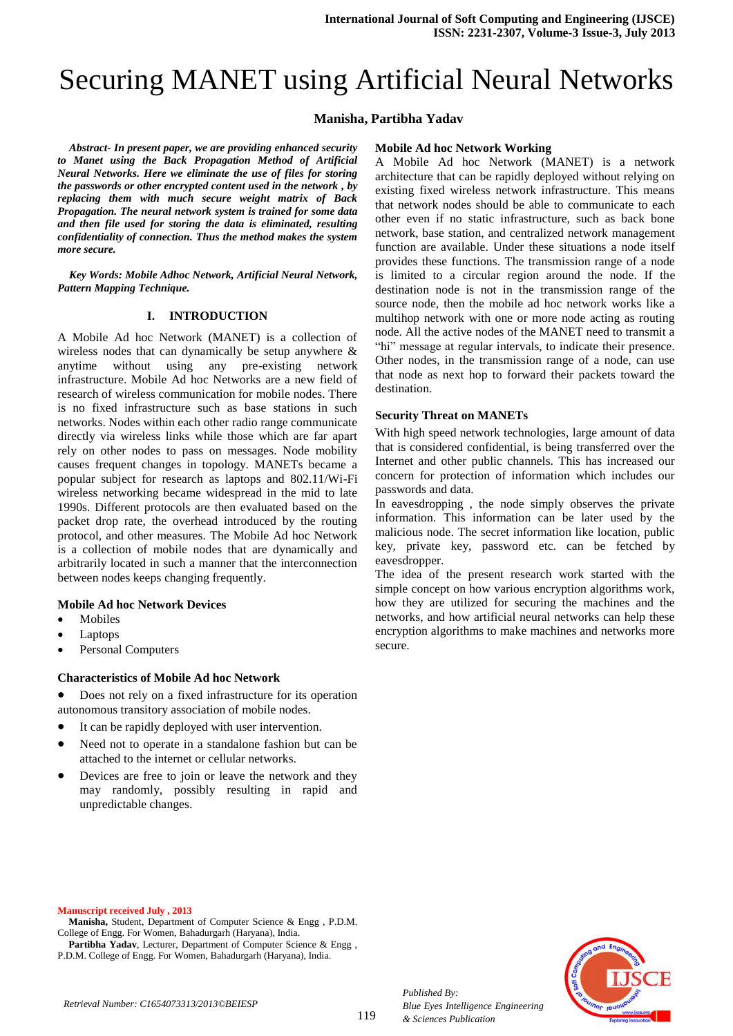# Securing MANET using Artificial Neural Networks

# **Manisha, Partibha Yadav**

*Abstract- In present paper, we are providing enhanced security to Manet using the Back Propagation Method of Artificial Neural Networks. Here we eliminate the use of files for storing the passwords or other encrypted content used in the network , by replacing them with much secure weight matrix of Back Propagation. The neural network system is trained for some data and then file used for storing the data is eliminated, resulting confidentiality of connection. Thus the method makes the system more secure.*

*Key Words: Mobile Adhoc Network, Artificial Neural Network, Pattern Mapping Technique.*

## **I. INTRODUCTION**

A Mobile Ad hoc Network (MANET) is a collection of wireless nodes that can dynamically be setup anywhere & anytime without using any pre-existing network infrastructure. Mobile Ad hoc Networks are a new field of research of wireless communication for mobile nodes. There is no fixed infrastructure such as base stations in such networks. Nodes within each other radio range communicate directly via wireless links while those which are far apart rely on other nodes to pass on messages. Node mobility causes frequent changes in topology. MANETs became a popular subject for research as laptops and 802.11/Wi-Fi wireless networking became widespread in the mid to late 1990s. Different protocols are then evaluated based on the packet drop rate, the overhead introduced by the routing protocol, and other measures. The Mobile Ad hoc Network is a collection of mobile nodes that are dynamically and arbitrarily located in such a manner that the interconnection between nodes keeps changing frequently.

## **Mobile Ad hoc Network Devices**

- Mobiles
- Laptops
- Personal Computers

## **Characteristics of Mobile Ad hoc Network**

 Does not rely on a fixed infrastructure for its operation autonomous transitory association of mobile nodes.

- It can be rapidly deployed with user intervention.
- Need not to operate in a standalone fashion but can be attached to the internet or cellular networks.
- Devices are free to join or leave the network and they may randomly, possibly resulting in rapid and unpredictable changes.

### **Mobile Ad hoc Network Working**

A Mobile Ad hoc Network (MANET) is a network architecture that can be rapidly deployed without relying on existing fixed wireless network infrastructure. This means that network nodes should be able to communicate to each other even if no static infrastructure, such as back bone network, base station, and centralized network management function are available. Under these situations a node itself provides these functions. The transmission range of a node is limited to a circular region around the node. If the destination node is not in the transmission range of the source node, then the mobile ad hoc network works like a multihop network with one or more node acting as routing node. All the active nodes of the MANET need to transmit a "hi" message at regular intervals, to indicate their presence. Other nodes, in the transmission range of a node, can use that node as next hop to forward their packets toward the destination.

## **Security Threat on MANETs**

With high speed network technologies, large amount of data that is considered confidential, is being transferred over the Internet and other public channels. This has increased our concern for protection of information which includes our passwords and data.

In eavesdropping , the node simply observes the private information. This information can be later used by the malicious node. The secret information like location, public key, private key, password etc. can be fetched by eavesdropper.

The idea of the present research work started with the simple concept on how various encryption algorithms work, how they are utilized for securing the machines and the networks, and how artificial neural networks can help these encryption algorithms to make machines and networks more secure.

#### **Manuscript received July , 2013**

**Manisha,** Student, Department of Computer Science & Engg , P.D.M. College of Engg. For Women, Bahadurgarh (Haryana), India.

**Partibha Yadav**, Lecturer, Department of Computer Science & Engg , P.D.M. College of Engg. For Women, Bahadurgarh (Haryana), India.



*Published By:*

*& Sciences Publication* 

*Blue Eyes Intelligence Engineering*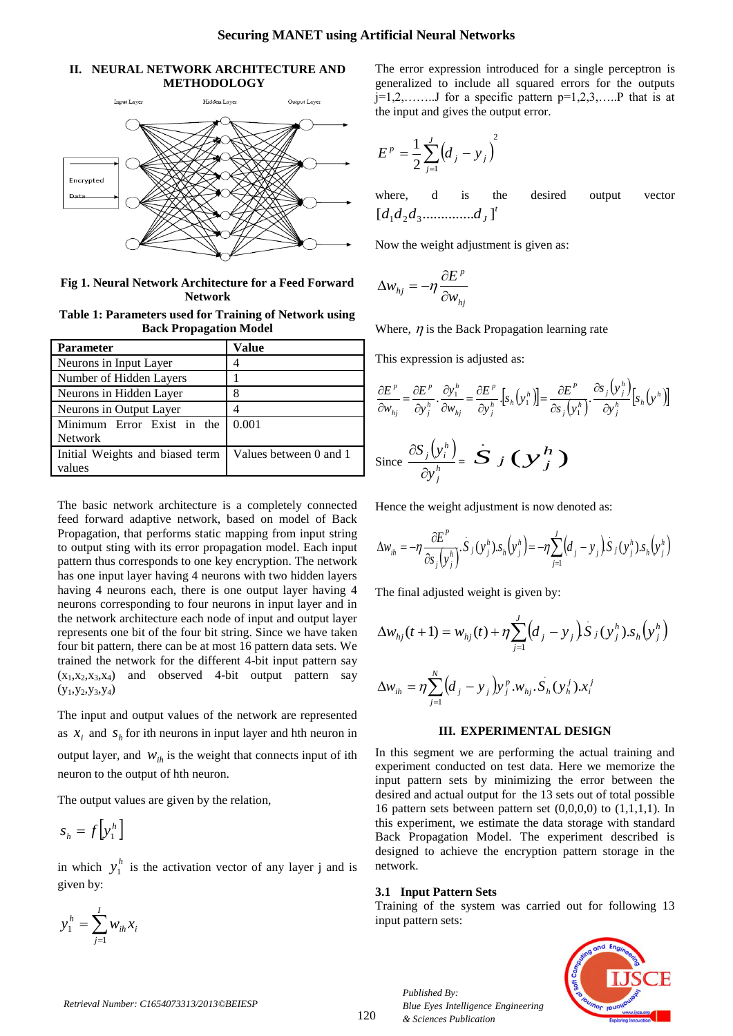## **II. NEURAL NETWORK ARCHITECTURE AND METHODOLOGY**



**Fig 1. Neural Network Architecture for a Feed Forward Network**

| Table 1: Parameters used for Training of Network using |  |  |  |
|--------------------------------------------------------|--|--|--|
| <b>Back Propagation Model</b>                          |  |  |  |

| <b>Parameter</b>                | Value                  |  |
|---------------------------------|------------------------|--|
| Neurons in Input Layer          |                        |  |
| Number of Hidden Layers         |                        |  |
| Neurons in Hidden Layer         | 8                      |  |
| Neurons in Output Layer         |                        |  |
| Minimum Error Exist in the      | 0.001                  |  |
| <b>Network</b>                  |                        |  |
| Initial Weights and biased term | Values between 0 and 1 |  |
| values                          |                        |  |

The basic network architecture is a completely connected feed forward adaptive network, based on model of Back Propagation, that performs static mapping from input string to output sting with its error propagation model. Each input pattern thus corresponds to one key encryption. The network has one input layer having 4 neurons with two hidden layers having 4 neurons each, there is one output layer having 4 neurons corresponding to four neurons in input layer and in the network architecture each node of input and output layer represents one bit of the four bit string. Since we have taken four bit pattern, there can be at most 16 pattern data sets. We trained the network for the different 4-bit input pattern say  $(x_1, x_2, x_3, x_4)$  and observed 4-bit output pattern say  $(y_1,y_2,y_3,y_4)$ 

The input and output values of the network are represented as  $x_i$  and  $s_h$  for ith neurons in input layer and hth neuron in output layer, and  $W_{ih}$  is the weight that connects input of ith neuron to the output of hth neuron.

The output values are given by the relation,

$$
S_h = f\left[\mathbf{y}_1^h\right]
$$

in which  $y_1^h$  is the activation vector of any layer j and is given by:



The error expression introduced for a single perceptron is generalized to include all squared errors for the outputs  $j=1,2,......$  for a specific pattern  $p=1,2,3,...$  that is at the input and gives the output error.

$$
E^{p} = \frac{1}{2} \sum_{j=1}^{J} (d_{j} - y_{j})^{2}
$$

where, d is the desired output vector *t d d d d<sup>J</sup>* [ .............. ] 1 2 3

Now the weight adjustment is given as:

$$
\Delta w_{hj} = -\eta \frac{\partial E^p}{\partial w_{hj}}
$$

Where,  $\eta$  is the Back Propagation learning rate

This expression is adjusted as:

$$
\frac{\partial E^p}{\partial w_{hj}} = \frac{\partial E^p}{\partial y_j^h} \cdot \frac{\partial y_1^h}{\partial w_{hj}} = \frac{\partial E^p}{\partial y_j^h} \cdot \left[ s_h \left( y_1^h \right) \right] = \frac{\partial E^p}{\partial s_j \left( y_1^h \right)} \cdot \frac{\partial s_j \left( y_j^h \right)}{\partial y_j^h} \left[ s_h \left( y^h \right) \right]
$$
  
Since  $\frac{\partial S_j \left( y_i^h \right)}{\partial y_j^h} = \mathbf{\dot{S}} \cdot \mathbf{J} \left( \mathbf{\dot{S}} \right) \mathbf{\dot{S}} \mathbf{\dot{S}}$ 

Hence the weight adjustment is now denoted as:

$$
\Delta w_{ih} = -\eta \frac{\partial E^P}{\partial s_j(y_j^h)} \cdot S_j(y_j^h) \cdot s_h(y_j^h) = -\eta \sum_{j=1}^J (d_j - y_j) S_j(y_j^h) \cdot s_h(y_j^h)
$$

The final adjusted weight is given by:

$$
\Delta w_{hj}(t+1) = w_{hj}(t) + \eta \sum_{j=1}^{J} (d_j - y_j) S_j(y_j^h) . s_h(y_j^h)
$$

$$
\Delta w_{ih} = \eta \sum_{j=1}^{N} (d_j - y_j) y_j^p w_{hj} \cdot S_h(y_h^j) x_i^j
$$

#### **III. EXPERIMENTAL DESIGN**

In this segment we are performing the actual training and experiment conducted on test data. Here we memorize the input pattern sets by minimizing the error between the desired and actual output for the 13 sets out of total possible 16 pattern sets between pattern set  $(0,0,0,0)$  to  $(1,1,1,1)$ . In this experiment, we estimate the data storage with standard Back Propagation Model. The experiment described is designed to achieve the encryption pattern storage in the network.

### **3.1 Input Pattern Sets**

Training of the system was carried out for following 13 input pattern sets:



*Published By: Blue Eyes Intelligence Engineering & Sciences Publication*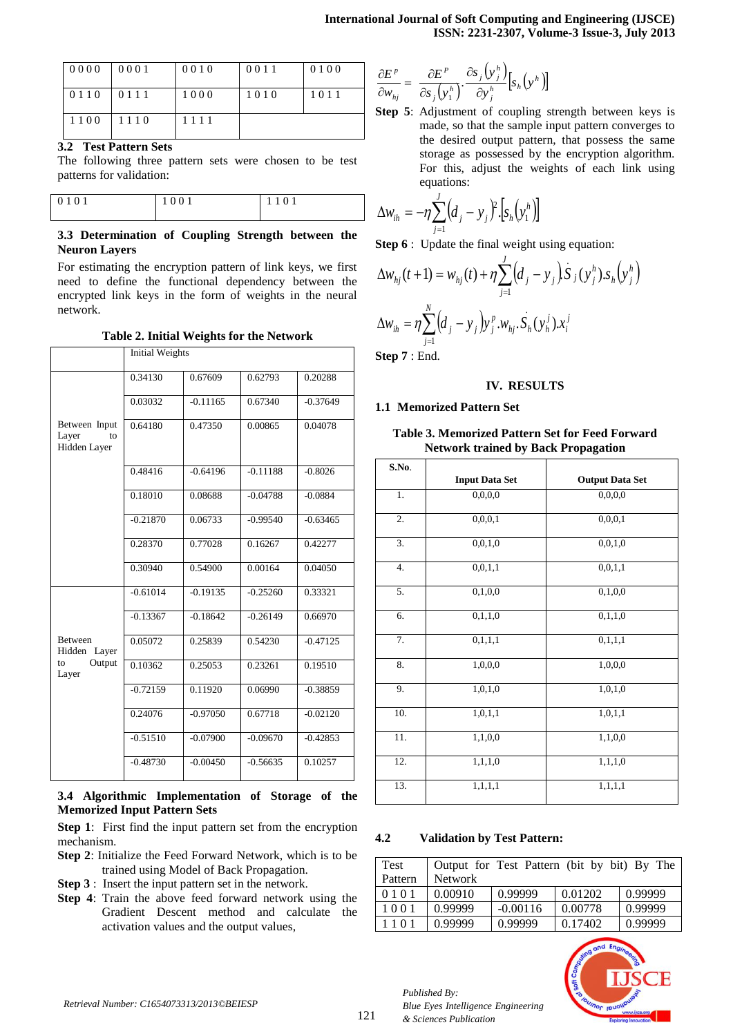| 0000    | 0001 | 0010 | 0011 | 0100 |
|---------|------|------|------|------|
| 0 1 1 0 | 0111 | 1000 | 1010 | 1011 |
| 1100    | 1110 | 1111 |      |      |

# **3.2 Test Pattern Sets**

The following three pattern sets were chosen to be test patterns for validation:

| 0101 | 0 (<br>$\overline{\phantom{a}}$ | $\Omega$ |  |
|------|---------------------------------|----------|--|
|      |                                 |          |  |

## **3.3 Determination of Coupling Strength between the Neuron Layers**

For estimating the encryption pattern of link keys, we first need to define the functional dependency between the encrypted link keys in the form of weights in the neural network.

**Table 2. Initial Weights for the Network**

|                                              | <b>Initial Weights</b> |            |            |            |
|----------------------------------------------|------------------------|------------|------------|------------|
|                                              | 0.34130                | 0.67609    | 0.62793    | 0.20288    |
|                                              | 0.03032                | $-0.11165$ | 0.67340    | $-0.37649$ |
| Between Input<br>Layer<br>to<br>Hidden Layer | 0.64180                | 0.47350    | 0.00865    | 0.04078    |
|                                              | 0.48416                | $-0.64196$ | $-0.11188$ | $-0.8026$  |
|                                              | 0.18010                | 0.08688    | $-0.04788$ | $-0.0884$  |
|                                              | $-0.21870$             | 0.06733    | $-0.99540$ | $-0.63465$ |
|                                              | 0.28370                | 0.77028    | 0.16267    | 0.42277    |
|                                              | 0.30940                | 0.54900    | 0.00164    | 0.04050    |
|                                              | $-0.61014$             | $-0.19135$ | $-0.25260$ | 0.33321    |
|                                              | $-0.13367$             | $-0.18642$ | $-0.26149$ | 0.66970    |
| <b>Between</b><br>Hidden<br>Layer            | 0.05072                | 0.25839    | 0.54230    | $-0.47125$ |
| Output<br>to<br>Layer                        | 0.10362                | 0.25053    | 0.23261    | 0.19510    |
|                                              | $-0.72159$             | 0.11920    | 0.06990    | $-0.38859$ |
|                                              | 0.24076                | $-0.97050$ | 0.67718    | $-0.02120$ |
|                                              | $-0.51510$             | $-0.07900$ | $-0.09670$ | $-0.42853$ |
|                                              | $-0.48730$             | $-0.00450$ | $-0.56635$ | 0.10257    |

## **3.4 Algorithmic Implementation of Storage of the Memorized Input Pattern Sets**

**Step 1**: First find the input pattern set from the encryption mechanism.

- **Step 2**: Initialize the Feed Forward Network, which is to be trained using Model of Back Propagation.
- **Step 3** : Insert the input pattern set in the network.
- **Step 4**: Train the above feed forward network using the Gradient Descent method and calculate the activation values and the output values,

$$
\frac{\partial E^p}{\partial w_{hj}} = \frac{\partial E^p}{\partial s_j(y_i^h)} \cdot \frac{\partial s_j(y_j^h)}{\partial y_j^h} [s_h(y^h)]
$$

**Step 5**: Adjustment of coupling strength between keys is made, so that the sample input pattern converges to the desired output pattern, that possess the same storage as possessed by the encryption algorithm. For this, adjust the weights of each link using equations:

$$
\Delta w_{ih} = -\eta \sum_{j=1}^{J} (d_j - y_j)^2 \cdot [s_h(y_1^h)]
$$

**Step 6** : Update the final weight using equation:

$$
\Delta w_{hj}(t+1) = w_{hj}(t) + \eta \sum_{j=1}^{J} (d_j - y_j) S_j(y_j^h) . s_h(y_j^h)
$$
  

$$
\Delta w_{ih} = \eta \sum_{j=1}^{N} (d_j - y_j) y_j^p . w_{hj} . S_h(y_h^j) . x_i^j
$$

**Step 7** : End.

## **IV. RESULTS**

## **1.1 Memorized Pattern Set**

## **Table 3. Memorized Pattern Set for Feed Forward Network trained by Back Propagation**

| S.No.            |                       |                        |
|------------------|-----------------------|------------------------|
|                  | <b>Input Data Set</b> | <b>Output Data Set</b> |
| $1.$             | 0,0,0,0               | 0,0,0,0                |
| 2.               | 0,0,0,1               | 0,0,0,1                |
| $\overline{3}$ . | 0,0,1,0               | 0,0,1,0                |
| 4.               | 0,0,1,1               | 0, 0, 1, 1             |
| 5.               | 0,1,0,0               | 0,1,0,0                |
| 6.               | 0,1,1,0               | 0,1,1,0                |
| 7.               | 0,1,1,1               | 0,1,1,1                |
| 8.               | 1,0,0,0               | 1,0,0,0                |
| 9.               | 1,0,1,0               | 1,0,1,0                |
| 10.              | 1,0,1,1               | 1,0,1,1                |
| 11.              | 1,1,0,0               | 1,1,0,0                |
| 12.              | 1,1,1,0               | $\overline{1,1,1,0}$   |
| 13.              | 1, 1, 1, 1            | 1, 1, 1, 1             |

## **4.2 Validation by Test Pattern:**

*Blue Eyes Intelligence Engineering* 

| Test    |         | Output for Test Pattern (bit by bit) By The |         |         |
|---------|---------|---------------------------------------------|---------|---------|
| Pattern | Network |                                             |         |         |
| 0101    | 0.00910 | 0.99999                                     | 0.01202 | 0.99999 |
| 1001    | 0.99999 | $-0.00116$                                  | 0.00778 | 0.99999 |
| 1101    | 0.99999 | 0.99999                                     | 0.17402 | 0.99999 |



*Published By:*

*& Sciences Publication*